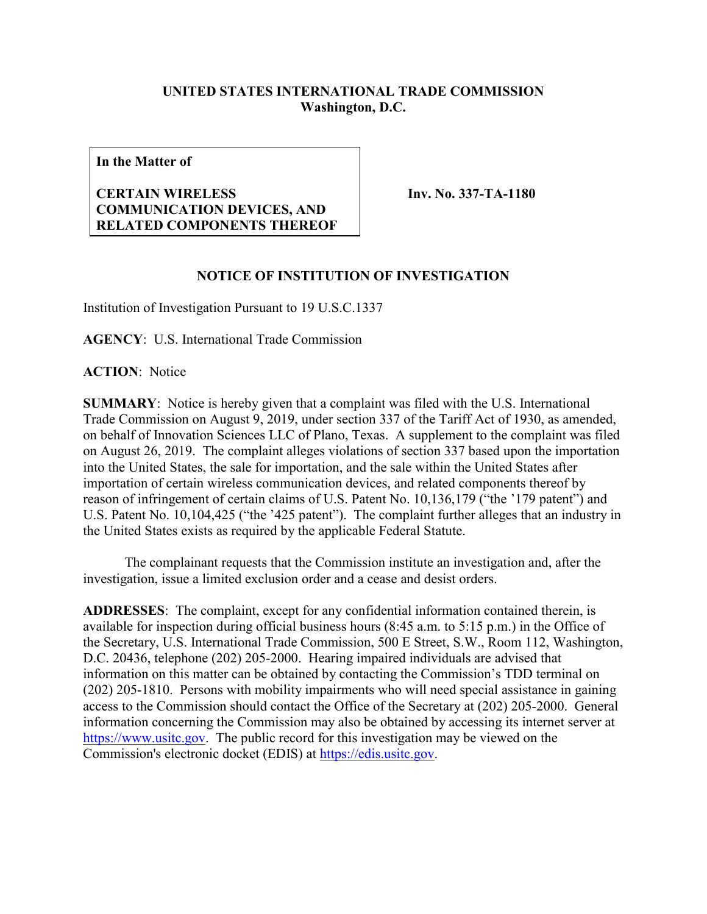## **UNITED STATES INTERNATIONAL TRADE COMMISSION Washington, D.C.**

**In the Matter of**

## **CERTAIN WIRELESS COMMUNICATION DEVICES, AND RELATED COMPONENTS THEREOF**

**Inv. No. 337-TA-1180**

## **NOTICE OF INSTITUTION OF INVESTIGATION**

Institution of Investigation Pursuant to 19 U.S.C.1337

**AGENCY**: U.S. International Trade Commission

**ACTION**: Notice

**SUMMARY**: Notice is hereby given that a complaint was filed with the U.S. International Trade Commission on August 9, 2019, under section 337 of the Tariff Act of 1930, as amended, on behalf of Innovation Sciences LLC of Plano, Texas. A supplement to the complaint was filed on August 26, 2019. The complaint alleges violations of section 337 based upon the importation into the United States, the sale for importation, and the sale within the United States after importation of certain wireless communication devices, and related components thereof by reason of infringement of certain claims of U.S. Patent No. 10,136,179 ("the '179 patent") and U.S. Patent No. 10,104,425 ("the '425 patent"). The complaint further alleges that an industry in the United States exists as required by the applicable Federal Statute.

The complainant requests that the Commission institute an investigation and, after the investigation, issue a limited exclusion order and a cease and desist orders.

**ADDRESSES**: The complaint, except for any confidential information contained therein, is available for inspection during official business hours (8:45 a.m. to 5:15 p.m.) in the Office of the Secretary, U.S. International Trade Commission, 500 E Street, S.W., Room 112, Washington, D.C. 20436, telephone (202) 205-2000. Hearing impaired individuals are advised that information on this matter can be obtained by contacting the Commission's TDD terminal on (202) 205-1810. Persons with mobility impairments who will need special assistance in gaining access to the Commission should contact the Office of the Secretary at (202) 205-2000. General information concerning the Commission may also be obtained by accessing its internet server at [https://www.usitc.gov.](https://www.usitc.gov/) The public record for this investigation may be viewed on the Commission's electronic docket (EDIS) at [https://edis.usitc.gov.](https://edis.usitc.gov/)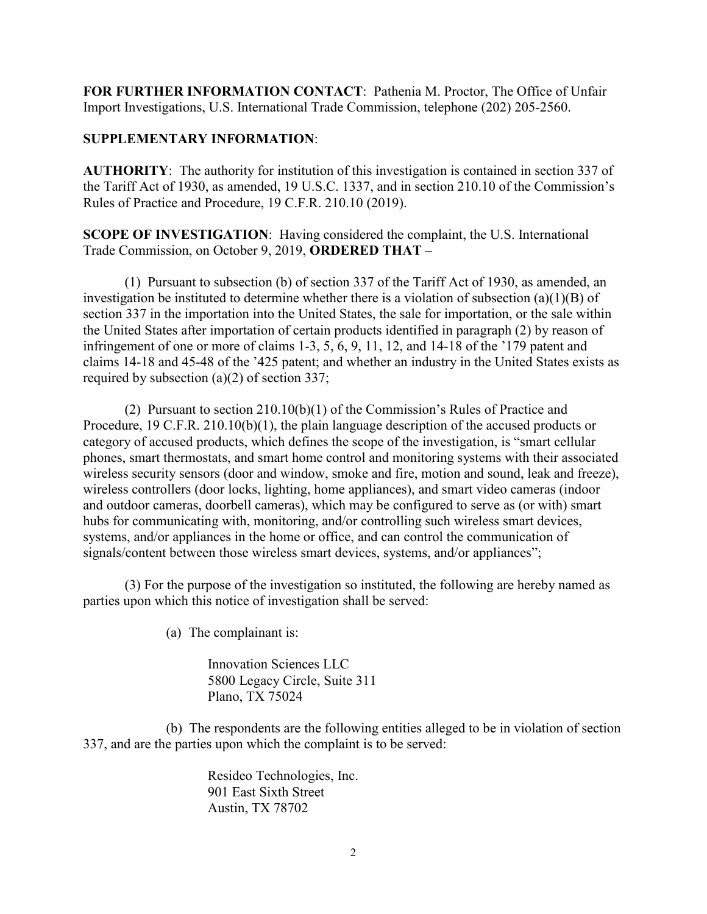**FOR FURTHER INFORMATION CONTACT**: Pathenia M. Proctor, The Office of Unfair Import Investigations, U.S. International Trade Commission, telephone (202) 205-2560.

## **SUPPLEMENTARY INFORMATION**:

**AUTHORITY**: The authority for institution of this investigation is contained in section 337 of the Tariff Act of 1930, as amended, 19 U.S.C. 1337, and in section 210.10 of the Commission's Rules of Practice and Procedure, 19 C.F.R. 210.10 (2019).

**SCOPE OF INVESTIGATION**: Having considered the complaint, the U.S. International Trade Commission, on October 9, 2019, **ORDERED THAT** –

(1) Pursuant to subsection (b) of section 337 of the Tariff Act of 1930, as amended, an investigation be instituted to determine whether there is a violation of subsection (a)(1)(B) of section 337 in the importation into the United States, the sale for importation, or the sale within the United States after importation of certain products identified in paragraph (2) by reason of infringement of one or more of claims 1-3, 5, 6, 9, 11, 12, and 14-18 of the '179 patent and claims 14-18 and 45-48 of the '425 patent; and whether an industry in the United States exists as required by subsection (a)(2) of section 337;

(2) Pursuant to section 210.10(b)(1) of the Commission's Rules of Practice and Procedure, 19 C.F.R. 210.10(b)(1), the plain language description of the accused products or category of accused products, which defines the scope of the investigation, is "smart cellular phones, smart thermostats, and smart home control and monitoring systems with their associated wireless security sensors (door and window, smoke and fire, motion and sound, leak and freeze), wireless controllers (door locks, lighting, home appliances), and smart video cameras (indoor and outdoor cameras, doorbell cameras), which may be configured to serve as (or with) smart hubs for communicating with, monitoring, and/or controlling such wireless smart devices, systems, and/or appliances in the home or office, and can control the communication of signals/content between those wireless smart devices, systems, and/or appliances";

(3) For the purpose of the investigation so instituted, the following are hereby named as parties upon which this notice of investigation shall be served:

(a) The complainant is:

Innovation Sciences LLC 5800 Legacy Circle, Suite 311 Plano, TX 75024

(b) The respondents are the following entities alleged to be in violation of section 337, and are the parties upon which the complaint is to be served:

> Resideo Technologies, Inc. 901 East Sixth Street Austin, TX 78702